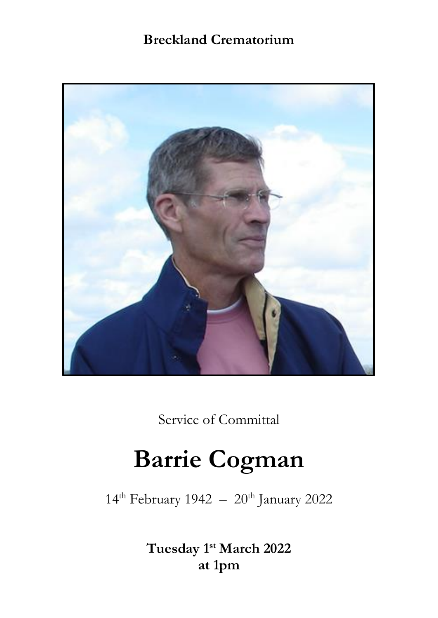# **Breckland Crematorium**



Service of Committal

# **Barrie Cogman**

 $14^{\text{th}}$  February 1942 –  $20^{\text{th}}$  January 2022

**Tuesday 1st March 2022 at 1pm**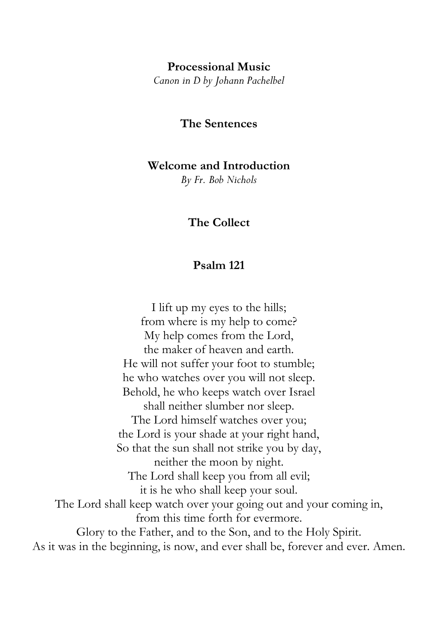#### **Processional Music**

*Canon in D by Johann Pachelbel*

# **The Sentences**

#### **Welcome and Introduction**

*By Fr. Bob Nichols* 

# **The Collect**

## **Psalm 121**

I lift up my eyes to the hills; from where is my help to come? My help comes from the Lord, the maker of heaven and earth. He will not suffer your foot to stumble; he who watches over you will not sleep. Behold, he who keeps watch over Israel shall neither slumber nor sleep. The Lord himself watches over you; the Lord is your shade at your right hand, So that the sun shall not strike you by day, neither the moon by night. The Lord shall keep you from all evil; it is he who shall keep your soul. The Lord shall keep watch over your going out and your coming in, from this time forth for evermore. Glory to the Father, and to the Son, and to the Holy Spirit. As it was in the beginning, is now, and ever shall be, forever and ever. Amen.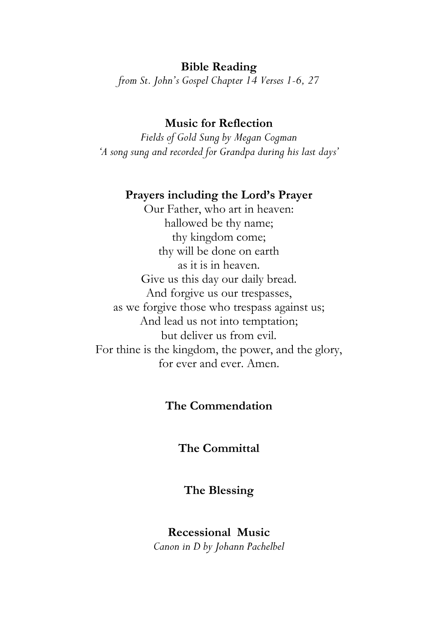# **Bible Reading**

*from St. John's Gospel Chapter 14 Verses 1-6, 27*

## **Music for Reflection**

*Fields of Gold Sung by Megan Cogman 'A song sung and recorded for Grandpa during his last days'* 

#### **Prayers including the Lord's Prayer**

Our Father, who art in heaven: hallowed be thy name; thy kingdom come; thy will be done on earth as it is in heaven. Give us this day our daily bread. And forgive us our trespasses, as we forgive those who trespass against us; And lead us not into temptation; but deliver us from evil. For thine is the kingdom, the power, and the glory, for ever and ever. Amen.

#### **The Commendation**

**The Committal**

#### **The Blessing**

**Recessional Music**  *Canon in D by Johann Pachelbel*